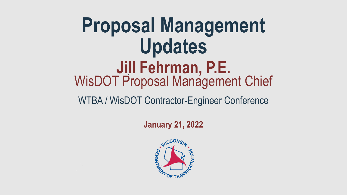## **Proposal Management Updates** WisDOT Proposal Management Chief **Jill Fehrman, P.E.**

WTBA / WisDOT Contractor-Engineer Conference

**January 21, 2022**



 $\mathcal{L}^{\mathcal{L}}$  and the set of the set of the set of the set of the set of the set of the set of the set of the set of the set of the set of the set of the set of the set of the set of the set of the set of the set of the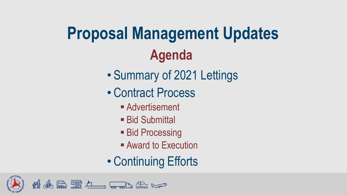# **Proposal Management Updates Agenda**

- Summary of 2021 Lettings
- Contract Process
	- Advertisement
	- Bid Submittal
	- **Bid Processing**
	- Award to Execution
- Continuing Efforts

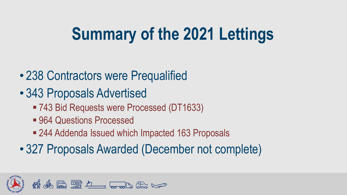## **Summary of the 2021 Lettings**

- 238 Contractors were Prequalified
- 343 Proposals Advertised
	- 743 Bid Requests were Processed (DT1633)
	- 964 Questions Processed
	- 244 Addenda Issued which Impacted 163 Proposals
- 327 Proposals Awarded (December not complete)

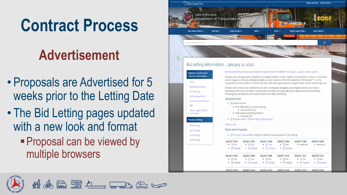#### **Contract Process**

#### **Advertisement**

- Proposals are Advertised for 5 weeks prior to the Letting Date
- The Bid Letting pages updated with a new look and format
	- **Proposal can be viewed by** multiple browsers



| 20220111013                          |                                      |                                      |                                           |                                      |                                      |
|--------------------------------------|--------------------------------------|--------------------------------------|-------------------------------------------|--------------------------------------|--------------------------------------|
| • [A] Proposal                       | • A Proposal                         | • [A Proposal                        | • [A Proposal                             | • <b>A</b> Proposal                  | • A Proposal                         |
| 20220111007<br>$\bullet$ $\Box$ Plan | 20220111008<br>$\bullet$ $\Box$ Plan | 20220111009<br>$\bullet$ $\Box$ Plan | 20220111010<br>$\bullet$ $\boxtimes$ Plan | 20220111011<br>$\bullet$ $\Box$ Plan | 20220111012<br>$\bullet$ $\Box$ Plan |

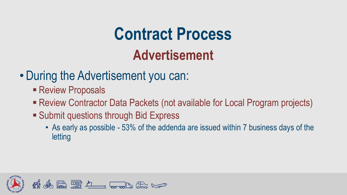## **Contract Process Advertisement**

- During the Advertisement you can:
	- **Exercient Proposals**
	- Review Contractor Data Packets (not available for Local Program projects)
	- **Express** Submit questions through Bid Express
		- As early as possible 53% of the addenda are issued within 7 business days of the letting

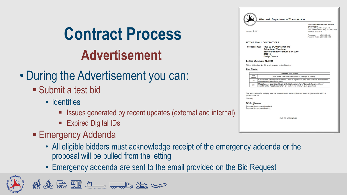### **Contract Process Advertisement**

#### • During the Advertisement you can:

- Submit a test bid
	- Identifies
		- **E** Issues generated by recent updates (external and internal)
		- **Expired Digital IDs**
- **Emergency Addenda** 
	- All eligible bidders must acknowledge receipt of the emergency addenda or the proposal will be pulled from the letting
	- Emergency addenda are sent to the email provided on the Bid Request



| mmmm<br>January 5, 2021         |                                             |                                                                                                                                                                       | <b>Division of Transportation Systems</b><br><b>Development</b><br>Bureau of Project Development<br>4822 Madison Yards Way, 4th Floor Sout<br>Madison, WI 53705 |
|---------------------------------|---------------------------------------------|-----------------------------------------------------------------------------------------------------------------------------------------------------------------------|-----------------------------------------------------------------------------------------------------------------------------------------------------------------|
|                                 |                                             |                                                                                                                                                                       | Telephone:<br>$(608)$ 266-1631<br>Facsimile (FAX): (608) 266-8459                                                                                               |
|                                 |                                             | <b>NOTICE TO ALL CONTRACTORS:</b>                                                                                                                                     |                                                                                                                                                                 |
|                                 |                                             | Proposal #03: 1400-00-84, WISC 2021 076<br><b>Columbus - Watertown</b><br>Beaver Dam River Struct B-14-0060<br><b>STH 16</b><br><b>Dodge County</b>                   |                                                                                                                                                                 |
|                                 |                                             | Letting of January 12, 2021                                                                                                                                           |                                                                                                                                                                 |
|                                 |                                             | This is Addendum No. 01, which provides for the following:                                                                                                            |                                                                                                                                                                 |
| <b>Plan Sheets:</b>             |                                             |                                                                                                                                                                       |                                                                                                                                                                 |
|                                 |                                             | <b>Revised Plan Sheets</b>                                                                                                                                            |                                                                                                                                                                 |
|                                 | Plan<br>Sheet                               | Plan Sheet Title (brief description of changes to sheet)                                                                                                              |                                                                                                                                                                 |
|                                 | 10                                          | the term used in structure plans)                                                                                                                                     | Construction Details (revised callout 1 note to replace "tie bars" with "surface drain anchors"                                                                 |
|                                 | 28                                          | Miscellaneous Quantities (delete drilled tie bars item from "Concrete Pavement Item"<br>quantity table, these bars/anchors are included in structure plan quantities) |                                                                                                                                                                 |
| prime contractor.<br>Sincerely, | Mike Coleman<br>Proposal Management Section | The responsibility for notifying potential subcontractors and suppliers of these changes remains with the<br>Proposal Development Specialist                          |                                                                                                                                                                 |
|                                 |                                             |                                                                                                                                                                       |                                                                                                                                                                 |
|                                 |                                             | <b>END OF ADDENDUM</b>                                                                                                                                                |                                                                                                                                                                 |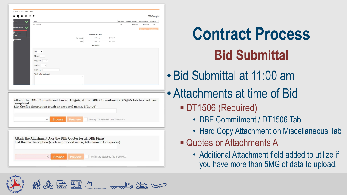| ■日号マチ<br><b>NAME</b><br>MTZ TRUCKING<br>No<br>\$50,000.00<br>\$50,000.00<br>le Of Items<br>Item Total: \$933,998.93<br>T1506<br><b>Total Entered:</b><br>5.35% or<br>\$50,000.00<br>$8.00\%$ or<br>\$74,719.91<br>Goal:<br><b>Goal Not Met</b><br>ID:<br>$\scriptstyle\star$<br>Name:<br>$\overline{\phantom{a}}$<br>City/State:<br>$\overline{\phantom{a}}$<br>Used As:<br>٠<br><b>Bid Quote:</b><br>Work to be performed:<br>completed. | 99% Complet<br>SUPPLIER? AMOUNT ENTERED AMOUNT TOTAL COMPLETE?<br>Yes | Attach the DBE Commitment Form DT1506, if the DBE Commitment/DT1506 tab has not been | List the file description (such as proposal name, DT1506):<br><b>Browse</b><br>Preview<br>I verify the attached file is correct.<br>$\times$<br>Attach the Attachment A or the DBE Quotes for all DBE Firms.<br>List the file description (such as proposal name, Attachment A or quotes): | : EDIT TOOLS VIEW HELP |  |  |  |  |
|-------------------------------------------------------------------------------------------------------------------------------------------------------------------------------------------------------------------------------------------------------------------------------------------------------------------------------------------------------------------------------------------------------------------------------------------|-----------------------------------------------------------------------|--------------------------------------------------------------------------------------|--------------------------------------------------------------------------------------------------------------------------------------------------------------------------------------------------------------------------------------------------------------------------------------------|------------------------|--|--|--|--|
|                                                                                                                                                                                                                                                                                                                                                                                                                                           |                                                                       |                                                                                      |                                                                                                                                                                                                                                                                                            |                        |  |  |  |  |
|                                                                                                                                                                                                                                                                                                                                                                                                                                           |                                                                       |                                                                                      |                                                                                                                                                                                                                                                                                            |                        |  |  |  |  |
|                                                                                                                                                                                                                                                                                                                                                                                                                                           |                                                                       |                                                                                      |                                                                                                                                                                                                                                                                                            |                        |  |  |  |  |
|                                                                                                                                                                                                                                                                                                                                                                                                                                           |                                                                       |                                                                                      |                                                                                                                                                                                                                                                                                            |                        |  |  |  |  |
|                                                                                                                                                                                                                                                                                                                                                                                                                                           |                                                                       |                                                                                      |                                                                                                                                                                                                                                                                                            |                        |  |  |  |  |
|                                                                                                                                                                                                                                                                                                                                                                                                                                           |                                                                       |                                                                                      |                                                                                                                                                                                                                                                                                            |                        |  |  |  |  |
|                                                                                                                                                                                                                                                                                                                                                                                                                                           |                                                                       |                                                                                      |                                                                                                                                                                                                                                                                                            |                        |  |  |  |  |
|                                                                                                                                                                                                                                                                                                                                                                                                                                           |                                                                       |                                                                                      |                                                                                                                                                                                                                                                                                            |                        |  |  |  |  |
|                                                                                                                                                                                                                                                                                                                                                                                                                                           |                                                                       |                                                                                      |                                                                                                                                                                                                                                                                                            |                        |  |  |  |  |
|                                                                                                                                                                                                                                                                                                                                                                                                                                           |                                                                       |                                                                                      |                                                                                                                                                                                                                                                                                            |                        |  |  |  |  |
|                                                                                                                                                                                                                                                                                                                                                                                                                                           |                                                                       |                                                                                      |                                                                                                                                                                                                                                                                                            |                        |  |  |  |  |
|                                                                                                                                                                                                                                                                                                                                                                                                                                           |                                                                       |                                                                                      |                                                                                                                                                                                                                                                                                            |                        |  |  |  |  |
|                                                                                                                                                                                                                                                                                                                                                                                                                                           |                                                                       |                                                                                      |                                                                                                                                                                                                                                                                                            |                        |  |  |  |  |
|                                                                                                                                                                                                                                                                                                                                                                                                                                           |                                                                       |                                                                                      |                                                                                                                                                                                                                                                                                            |                        |  |  |  |  |
|                                                                                                                                                                                                                                                                                                                                                                                                                                           |                                                                       |                                                                                      |                                                                                                                                                                                                                                                                                            |                        |  |  |  |  |
|                                                                                                                                                                                                                                                                                                                                                                                                                                           |                                                                       |                                                                                      |                                                                                                                                                                                                                                                                                            |                        |  |  |  |  |
|                                                                                                                                                                                                                                                                                                                                                                                                                                           |                                                                       |                                                                                      |                                                                                                                                                                                                                                                                                            |                        |  |  |  |  |
|                                                                                                                                                                                                                                                                                                                                                                                                                                           |                                                                       |                                                                                      |                                                                                                                                                                                                                                                                                            |                        |  |  |  |  |
|                                                                                                                                                                                                                                                                                                                                                                                                                                           |                                                                       |                                                                                      |                                                                                                                                                                                                                                                                                            |                        |  |  |  |  |
|                                                                                                                                                                                                                                                                                                                                                                                                                                           |                                                                       |                                                                                      |                                                                                                                                                                                                                                                                                            |                        |  |  |  |  |
|                                                                                                                                                                                                                                                                                                                                                                                                                                           |                                                                       |                                                                                      |                                                                                                                                                                                                                                                                                            |                        |  |  |  |  |
|                                                                                                                                                                                                                                                                                                                                                                                                                                           |                                                                       |                                                                                      |                                                                                                                                                                                                                                                                                            |                        |  |  |  |  |
|                                                                                                                                                                                                                                                                                                                                                                                                                                           |                                                                       |                                                                                      |                                                                                                                                                                                                                                                                                            |                        |  |  |  |  |
|                                                                                                                                                                                                                                                                                                                                                                                                                                           |                                                                       |                                                                                      |                                                                                                                                                                                                                                                                                            |                        |  |  |  |  |
|                                                                                                                                                                                                                                                                                                                                                                                                                                           |                                                                       |                                                                                      |                                                                                                                                                                                                                                                                                            |                        |  |  |  |  |
|                                                                                                                                                                                                                                                                                                                                                                                                                                           |                                                                       |                                                                                      |                                                                                                                                                                                                                                                                                            |                        |  |  |  |  |
|                                                                                                                                                                                                                                                                                                                                                                                                                                           |                                                                       |                                                                                      |                                                                                                                                                                                                                                                                                            |                        |  |  |  |  |
|                                                                                                                                                                                                                                                                                                                                                                                                                                           |                                                                       |                                                                                      |                                                                                                                                                                                                                                                                                            |                        |  |  |  |  |
|                                                                                                                                                                                                                                                                                                                                                                                                                                           |                                                                       |                                                                                      |                                                                                                                                                                                                                                                                                            |                        |  |  |  |  |
|                                                                                                                                                                                                                                                                                                                                                                                                                                           |                                                                       |                                                                                      |                                                                                                                                                                                                                                                                                            |                        |  |  |  |  |
|                                                                                                                                                                                                                                                                                                                                                                                                                                           |                                                                       |                                                                                      |                                                                                                                                                                                                                                                                                            |                        |  |  |  |  |
|                                                                                                                                                                                                                                                                                                                                                                                                                                           |                                                                       |                                                                                      |                                                                                                                                                                                                                                                                                            |                        |  |  |  |  |
|                                                                                                                                                                                                                                                                                                                                                                                                                                           |                                                                       |                                                                                      |                                                                                                                                                                                                                                                                                            |                        |  |  |  |  |
|                                                                                                                                                                                                                                                                                                                                                                                                                                           |                                                                       |                                                                                      |                                                                                                                                                                                                                                                                                            |                        |  |  |  |  |
|                                                                                                                                                                                                                                                                                                                                                                                                                                           |                                                                       |                                                                                      |                                                                                                                                                                                                                                                                                            |                        |  |  |  |  |
|                                                                                                                                                                                                                                                                                                                                                                                                                                           |                                                                       |                                                                                      |                                                                                                                                                                                                                                                                                            |                        |  |  |  |  |
|                                                                                                                                                                                                                                                                                                                                                                                                                                           |                                                                       |                                                                                      | I verify the attached file is correct.<br>×<br><b>Browse</b><br><b>Preview</b>                                                                                                                                                                                                             |                        |  |  |  |  |

**Red 2000 And 1940** 

## **Contract Process Bid Submittal**

- Bid Submittal at 11:00 am
- Attachments at time of Bid
	- DT1506 (Required)
		- DBE Commitment / DT1506 Tab
		- Hard Copy Attachment on Miscellaneous Tab
	- Quotes or Attachments A
		- Additional Attachment field added to utilize if you have more than 5MG of data to upload.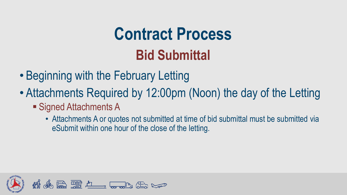## **Contract Process Bid Submittal**

- Beginning with the February Letting
- Attachments Required by 12:00pm (Noon) the day of the Letting
	- Signed Attachments A
		- Attachments A or quotes not submitted at time of bid submittal must be submitted via eSubmit within one hour of the close of the letting.

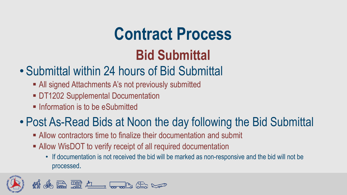### **Contract Process**

#### **Bid Submittal**

#### • Submittal within 24 hours of Bid Submittal

- All signed Attachments A's not previously submitted
- **DT1202 Supplemental Documentation**
- **Example 1** Information is to be eSubmitted

#### • Post As-Read Bids at Noon the day following the Bid Submittal

- **E** Allow contractors time to finalize their documentation and submit
- Allow WisDOT to verify receipt of all required documentation
	- If documentation is not received the bid will be marked as non-responsive and the bid will not be processed.

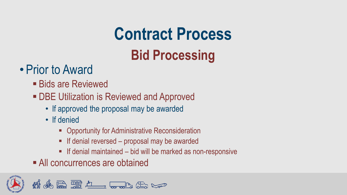# **Contract Process**

#### **Bid Processing**

#### • Prior to Award

- Bids are Reviewed
- **DBE Utilization is Reviewed and Approved** 
	- If approved the proposal may be awarded
	- If denied
		- Opportunity for Administrative Reconsideration
		- If denial reversed proposal may be awarded
		- **EX If denial maintained bid will be marked as non-responsive**
- All concurrences are obtained

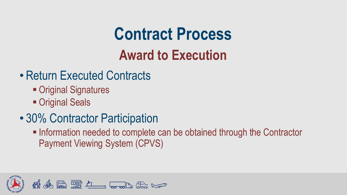### **Contract Process Award to Execution**

- Return Executed Contracts
	- Original Signatures
	- Original Seals
- 30% Contractor Participation
	- **. Information needed to complete can be obtained through the Contractor** Payment Viewing System (CPVS)

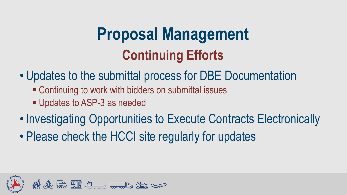#### **Proposal Management Continuing Efforts**

- Updates to the submittal process for DBE Documentation
	- Continuing to work with bidders on submittal issues
	- Updates to ASP-3 as needed
- Investigating Opportunities to Execute Contracts Electronically
- Please check the HCCI site regularly for updates